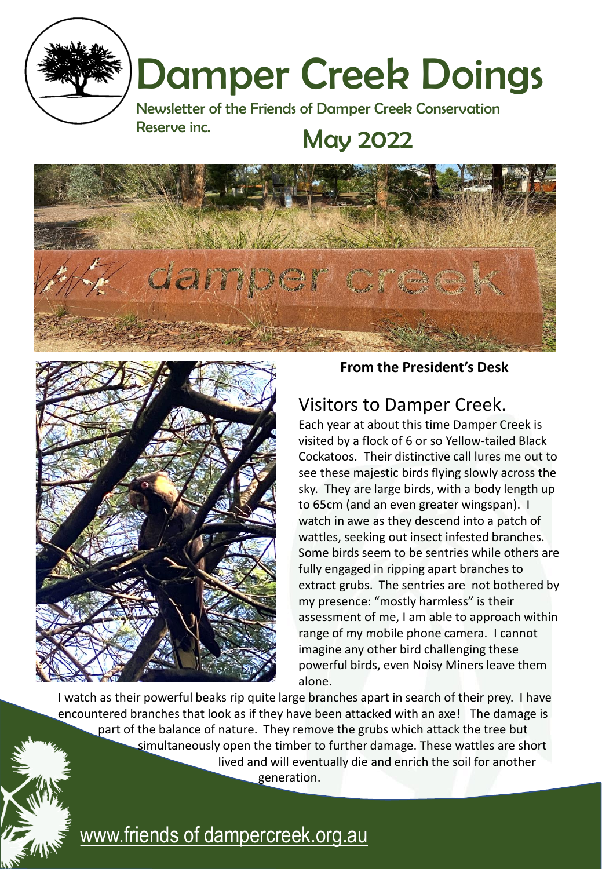

# Damper Creek Doings

Newsletter of the Friends of Damper Creek Conservation Reserve inc. May 2022





**From the President's Desk**

## Visitors to Damper Creek.

Each year at about this time Damper Creek is visited by a flock of 6 or so Yellow-tailed Black Cockatoos. Their distinctive call lures me out to see these majestic birds flying slowly across the sky. They are large birds, with a body length up to 65cm (and an even greater wingspan). I watch in awe as they descend into a patch of wattles, seeking out insect infested branches. Some birds seem to be sentries while others are fully engaged in ripping apart branches to extract grubs. The sentries are not bothered by my presence: "mostly harmless" is their assessment of me, I am able to approach within range of my mobile phone camera. I cannot imagine any other bird challenging these powerful birds, even Noisy Miners leave them alone.

I watch as their powerful beaks rip quite large branches apart in search of their prey. I have encountered branches that look as if they have been attacked with an axe! The damage is part of the balance of nature. They remove the grubs which attack the tree but simultaneously open the timber to further damage. These wattles are short lived and will eventually die and enrich the soil for another generation.

## [www.friends of dampercreek.org.au](http://www.friendsofdampercreek.org.au/)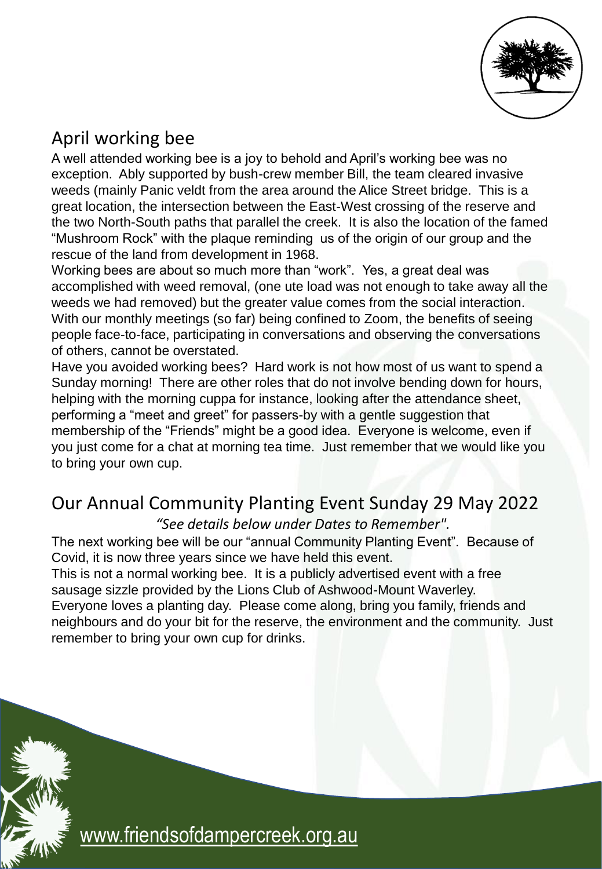

## April working bee

A well attended working bee is a joy to behold and April's working bee was no exception. Ably supported by bush-crew member Bill, the team cleared invasive weeds (mainly Panic veldt from the area around the Alice Street bridge. This is a great location, the intersection between the East-West crossing of the reserve and the two North-South paths that parallel the creek. It is also the location of the famed "Mushroom Rock" with the plaque reminding us of the origin of our group and the rescue of the land from development in 1968.

Working bees are about so much more than "work". Yes, a great deal was accomplished with weed removal, (one ute load was not enough to take away all the weeds we had removed) but the greater value comes from the social interaction. With our monthly meetings (so far) being confined to Zoom, the benefits of seeing people face-to-face, participating in conversations and observing the conversations of others, cannot be overstated.

Have you avoided working bees? Hard work is not how most of us want to spend a Sunday morning! There are other roles that do not involve bending down for hours, helping with the morning cuppa for instance, looking after the attendance sheet, performing a "meet and greet" for passers-by with a gentle suggestion that membership of the "Friends" might be a good idea. Everyone is welcome, even if you just come for a chat at morning tea time. Just remember that we would like you to bring your own cup.

#### Our Annual Community Planting Event Sunday 29 May 2022

*"See details below under Dates to Remember".*

The next working bee will be our "annual Community Planting Event". Because of Covid, it is now three years since we have held this event.

This is not a normal working bee. It is a publicly advertised event with a free sausage sizzle provided by the Lions Club of Ashwood-Mount Waverley.

Everyone loves a planting day. Please come along, bring you family, friends and neighbours and do your bit for the reserve, the environment and the community. Just remember to bring your own cup for drinks.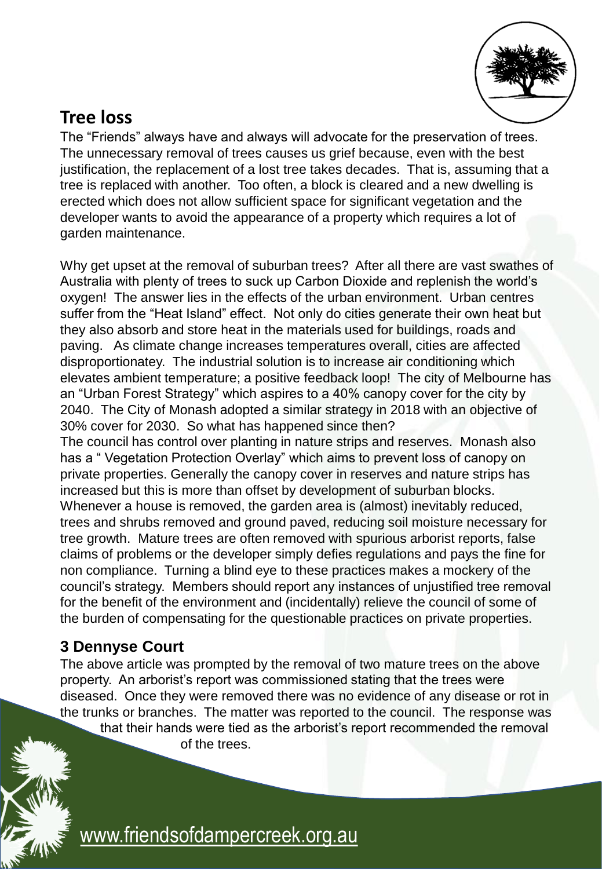

#### **Tree loss**

The "Friends" always have and always will advocate for the preservation of trees. The unnecessary removal of trees causes us grief because, even with the best justification, the replacement of a lost tree takes decades. That is, assuming that a tree is replaced with another. Too often, a block is cleared and a new dwelling is erected which does not allow sufficient space for significant vegetation and the developer wants to avoid the appearance of a property which requires a lot of garden maintenance.

Why get upset at the removal of suburban trees? After all there are vast swathes of Australia with plenty of trees to suck up Carbon Dioxide and replenish the world's oxygen! The answer lies in the effects of the urban environment. Urban centres suffer from the "Heat Island" effect. Not only do cities generate their own heat but they also absorb and store heat in the materials used for buildings, roads and paving. As climate change increases temperatures overall, cities are affected disproportionatey. The industrial solution is to increase air conditioning which elevates ambient temperature; a positive feedback loop! The city of Melbourne has an "Urban Forest Strategy" which aspires to a 40% canopy cover for the city by 2040. The City of Monash adopted a similar strategy in 2018 with an objective of 30% cover for 2030. So what has happened since then?

The council has control over planting in nature strips and reserves. Monash also has a " Vegetation Protection Overlay" which aims to prevent loss of canopy on private properties. Generally the canopy cover in reserves and nature strips has increased but this is more than offset by development of suburban blocks. Whenever a house is removed, the garden area is (almost) inevitably reduced, trees and shrubs removed and ground paved, reducing soil moisture necessary for tree growth. Mature trees are often removed with spurious arborist reports, false claims of problems or the developer simply defies regulations and pays the fine for non compliance. Turning a blind eye to these practices makes a mockery of the council's strategy. Members should report any instances of unjustified tree removal for the benefit of the environment and (incidentally) relieve the council of some of the burden of compensating for the questionable practices on private properties.

#### **3 Dennyse Court**

The above article was prompted by the removal of two mature trees on the above property. An arborist's report was commissioned stating that the trees were diseased. Once they were removed there was no evidence of any disease or rot in the trunks or branches. The matter was reported to the council. The response was that their hands were tied as the arborist's report recommended the removal of the trees.

[www.friendsofdampercreek.org.au](http://www.friendsofdampercreek.org.au/)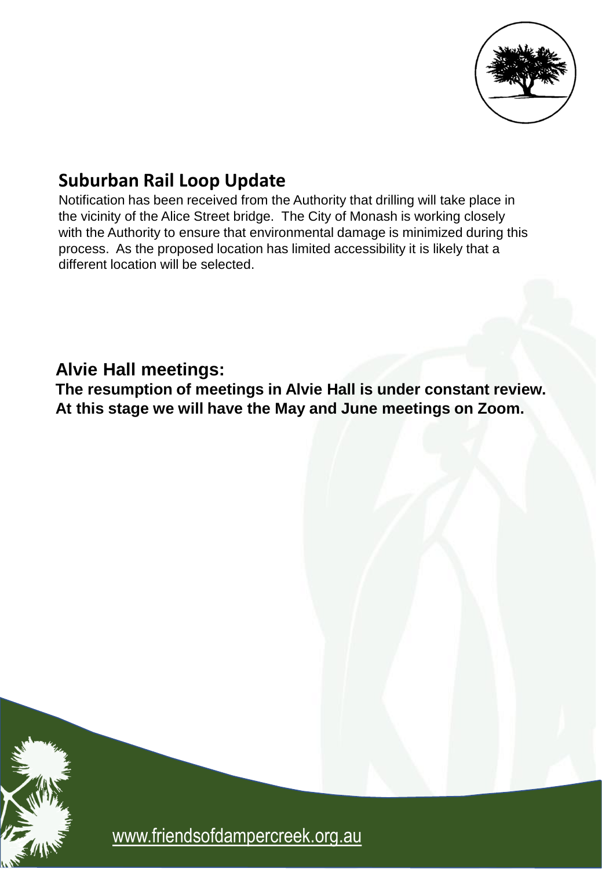

### **Suburban Rail Loop Update**

Notification has been received from the Authority that drilling will take place in the vicinity of the Alice Street bridge. The City of Monash is working closely with the Authority to ensure that environmental damage is minimized during this process. As the proposed location has limited accessibility it is likely that a different location will be selected.

#### **Alvie Hall meetings:**

**The resumption of meetings in Alvie Hall is under constant review. At this stage we will have the May and June meetings on Zoom.**



[www.friendsofdampercreek.org.au](http://www.friendsofdampercreek.org.au/)